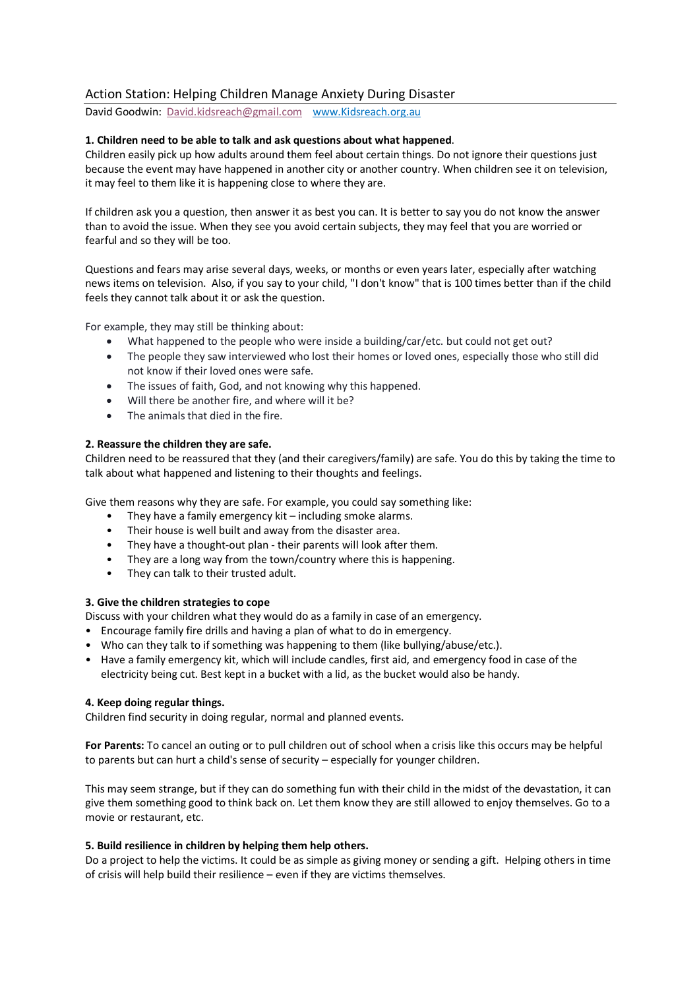# Action Station: Helping Children Manage Anxiety During Disaster

David Goodwin: David.kidsreach@gmail.co[m www.Kidsreach.org.au](mailto:David.kidsreach@gmail.com)

## **[1. Children need](http://www.kidsreach.org.au/) to be able to talk and ask questions about what happened**.

Children easily pick up how adults around them feel about certain things. Do not ignore their questions just because the event may have happened in another city or another country. When children see it on television, it may feel to them like it is happening close to where they are.

If children ask you a question, then answer it as best you can. It is better to say you do not know the answer than to avoid the issue. When they see you avoid certain subjects, they may feel that you are worried or fearful and so they will be too.

Questions and fears may arise several days, weeks, or months or even years later, especially after watching news items on television. Also, if you say to your child, "I don't know" that is 100 times better than if the child feels they cannot talk about it or ask the question.

For example, they may still be thinking about:

- What happened to the people who were inside a building/car/etc. but could not get out?
- The people they saw interviewed who lost their homes or loved ones, especially those who still did not know if their loved ones were safe.
- The issues of faith, God, and not knowing why this happened.
- Will there be another fire, and where will it be?
- The animals that died in the fire.

### **2. Reassure the children they are safe.**

Children need to be reassured that they (and their caregivers/family) are safe. You do this by taking the time to talk about what happened and listening to their thoughts and feelings.

Give them reasons why they are safe. For example, you could say something like:

- They have a family emergency kit  $-$  including smoke alarms.
- Their house is well built and away from the disaster area.
- They have a thought-out plan their parents will look after them.
- They are a long way from the town/country where this is happening.
- They can talk to their trusted adult.

### **3. Give the children strategies to cope**

Discuss with your children what they would do as a family in case of an emergency.

- Encourage family fire drills and having a plan of what to do in emergency.
- Who can they talk to if something was happening to them (like bullying/abuse/etc.).
- Have a family emergency kit, which will include candles, first aid, and emergency food in case of the electricity being cut. Best kept in a bucket with a lid, as the bucket would also be handy.

### **4. Keep doing regular things.**

Children find security in doing regular, normal and planned events.

**For Parents:** To cancel an outing or to pull children out of school when a crisis like this occurs may be helpful to parents but can hurt a child's sense of security – especially for younger children.

This may seem strange, but if they can do something fun with their child in the midst of the devastation, it can give them something good to think back on. Let them know they are still allowed to enjoy themselves. Go to a movie or restaurant, etc.

### **5. Build resilience in children by helping them help others.**

Do a project to help the victims. It could be as simple as giving money or sending a gift. Helping others in time of crisis will help build their resilience – even if they are victims themselves.